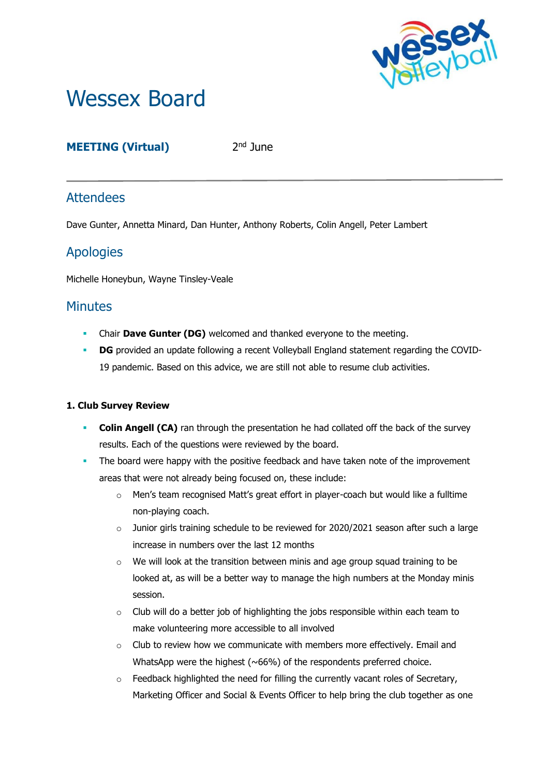

# Wessex Board

## **MEETING (Virtual)** 2

2<sup>nd</sup> June

# **Attendees**

Dave Gunter, Annetta Minard, Dan Hunter, Anthony Roberts, Colin Angell, Peter Lambert

# Apologies

Michelle Honeybun, Wayne Tinsley-Veale

## **Minutes**

- **EXECUTE:** Chair **Dave Gunter (DG)** welcomed and thanked everyone to the meeting.
- **DG** provided an update following a recent Volleyball England statement regarding the COVID-19 pandemic. Based on this advice, we are still not able to resume club activities.

### **1. Club Survey Review**

- **Colin Angell (CA)** ran through the presentation he had collated off the back of the survey results. Each of the questions were reviewed by the board.
- **•** The board were happy with the positive feedback and have taken note of the improvement areas that were not already being focused on, these include:
	- o Men's team recognised Matt's great effort in player-coach but would like a fulltime non-playing coach.
	- $\circ$  Junior girls training schedule to be reviewed for 2020/2021 season after such a large increase in numbers over the last 12 months
	- $\circ$  We will look at the transition between minis and age group squad training to be looked at, as will be a better way to manage the high numbers at the Monday minis session.
	- $\circ$  Club will do a better job of highlighting the jobs responsible within each team to make volunteering more accessible to all involved
	- $\circ$  Club to review how we communicate with members more effectively. Email and WhatsApp were the highest (~66%) of the respondents preferred choice.
	- $\circ$  Feedback highlighted the need for filling the currently vacant roles of Secretary, Marketing Officer and Social & Events Officer to help bring the club together as one